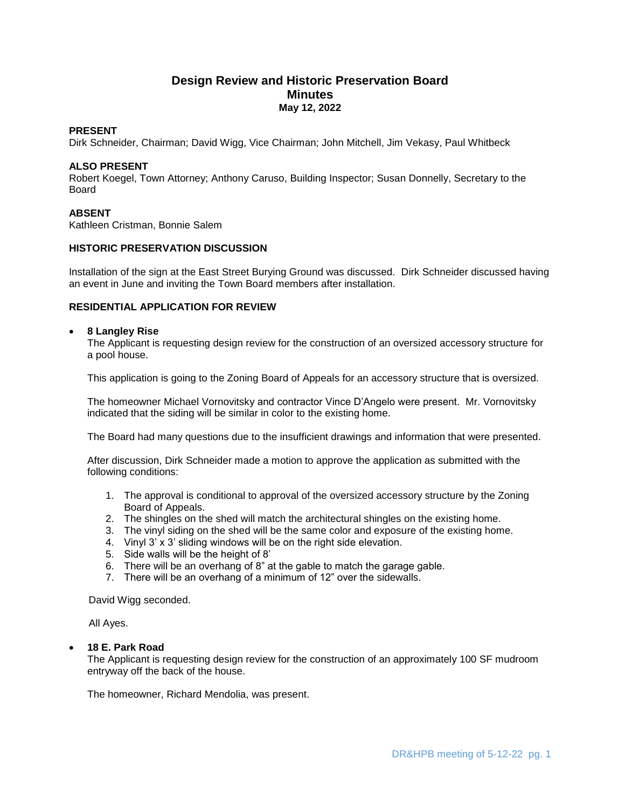# **Design Review and Historic Preservation Board Minutes May 12, 2022**

## **PRESENT**

Dirk Schneider, Chairman; David Wigg, Vice Chairman; John Mitchell, Jim Vekasy, Paul Whitbeck

## **ALSO PRESENT**

Robert Koegel, Town Attorney; Anthony Caruso, Building Inspector; Susan Donnelly, Secretary to the Board

# **ABSENT**

Kathleen Cristman, Bonnie Salem

## **HISTORIC PRESERVATION DISCUSSION**

Installation of the sign at the East Street Burying Ground was discussed. Dirk Schneider discussed having an event in June and inviting the Town Board members after installation.

# **RESIDENTIAL APPLICATION FOR REVIEW**

# **8 Langley Rise**

The Applicant is requesting design review for the construction of an oversized accessory structure for a pool house.

This application is going to the Zoning Board of Appeals for an accessory structure that is oversized.

The homeowner Michael Vornovitsky and contractor Vince D'Angelo were present. Mr. Vornovitsky indicated that the siding will be similar in color to the existing home.

The Board had many questions due to the insufficient drawings and information that were presented.

After discussion, Dirk Schneider made a motion to approve the application as submitted with the following conditions:

- 1. The approval is conditional to approval of the oversized accessory structure by the Zoning Board of Appeals.
- 2. The shingles on the shed will match the architectural shingles on the existing home.
- 3. The vinyl siding on the shed will be the same color and exposure of the existing home.
- 4. Vinyl 3' x 3' sliding windows will be on the right side elevation.
- 5. Side walls will be the height of 8'
- 6. There will be an overhang of 8" at the gable to match the garage gable.
- 7. There will be an overhang of a minimum of 12" over the sidewalls.

David Wigg seconded.

All Ayes.

## **18 E. Park Road**

The Applicant is requesting design review for the construction of an approximately 100 SF mudroom entryway off the back of the house.

The homeowner, Richard Mendolia, was present.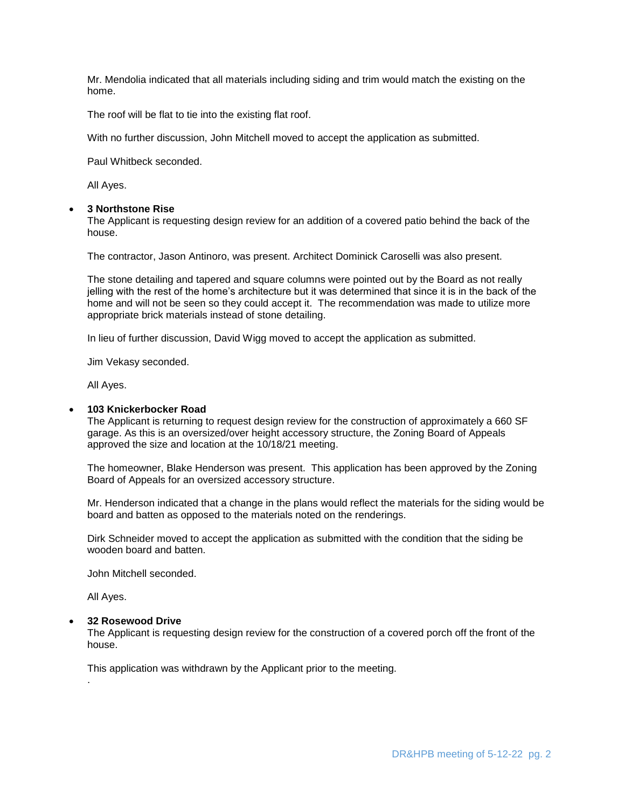Mr. Mendolia indicated that all materials including siding and trim would match the existing on the home.

The roof will be flat to tie into the existing flat roof.

With no further discussion, John Mitchell moved to accept the application as submitted.

Paul Whitbeck seconded.

All Ayes.

# **3 Northstone Rise**

The Applicant is requesting design review for an addition of a covered patio behind the back of the house.

The contractor, Jason Antinoro, was present. Architect Dominick Caroselli was also present.

The stone detailing and tapered and square columns were pointed out by the Board as not really jelling with the rest of the home's architecture but it was determined that since it is in the back of the home and will not be seen so they could accept it. The recommendation was made to utilize more appropriate brick materials instead of stone detailing.

In lieu of further discussion, David Wigg moved to accept the application as submitted.

Jim Vekasy seconded.

All Ayes.

## **103 Knickerbocker Road**

The Applicant is returning to request design review for the construction of approximately a 660 SF garage. As this is an oversized/over height accessory structure, the Zoning Board of Appeals approved the size and location at the 10/18/21 meeting.

The homeowner, Blake Henderson was present. This application has been approved by the Zoning Board of Appeals for an oversized accessory structure.

Mr. Henderson indicated that a change in the plans would reflect the materials for the siding would be board and batten as opposed to the materials noted on the renderings.

Dirk Schneider moved to accept the application as submitted with the condition that the siding be wooden board and batten.

John Mitchell seconded.

All Ayes.

.

# **32 Rosewood Drive**

The Applicant is requesting design review for the construction of a covered porch off the front of the house.

This application was withdrawn by the Applicant prior to the meeting.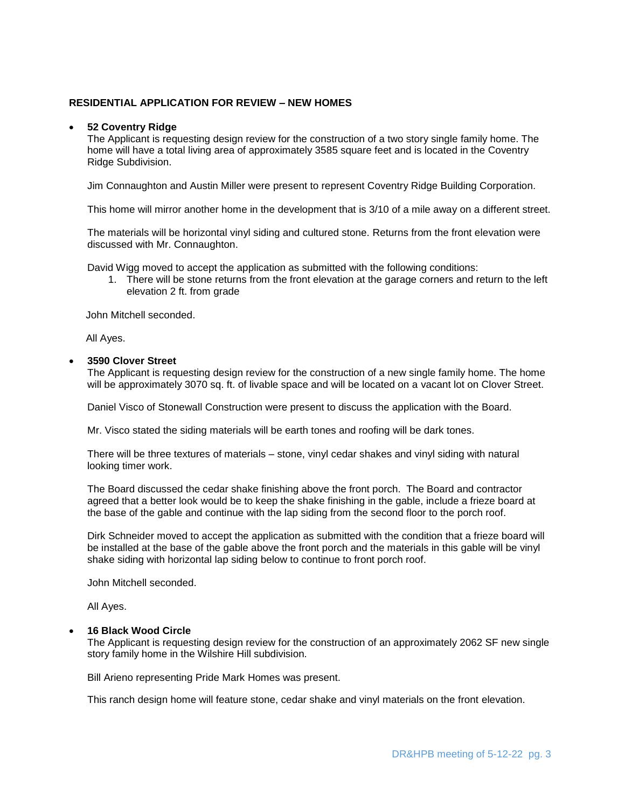## **RESIDENTIAL APPLICATION FOR REVIEW – NEW HOMES**

### **52 Coventry Ridge**

The Applicant is requesting design review for the construction of a two story single family home. The home will have a total living area of approximately 3585 square feet and is located in the Coventry Ridge Subdivision.

Jim Connaughton and Austin Miller were present to represent Coventry Ridge Building Corporation.

This home will mirror another home in the development that is 3/10 of a mile away on a different street.

The materials will be horizontal vinyl siding and cultured stone. Returns from the front elevation were discussed with Mr. Connaughton.

David Wigg moved to accept the application as submitted with the following conditions:

1. There will be stone returns from the front elevation at the garage corners and return to the left elevation 2 ft. from grade

John Mitchell seconded.

All Ayes.

#### **3590 Clover Street**

The Applicant is requesting design review for the construction of a new single family home. The home will be approximately 3070 sq. ft. of livable space and will be located on a vacant lot on Clover Street.

Daniel Visco of Stonewall Construction were present to discuss the application with the Board.

Mr. Visco stated the siding materials will be earth tones and roofing will be dark tones.

There will be three textures of materials – stone, vinyl cedar shakes and vinyl siding with natural looking timer work.

The Board discussed the cedar shake finishing above the front porch. The Board and contractor agreed that a better look would be to keep the shake finishing in the gable, include a frieze board at the base of the gable and continue with the lap siding from the second floor to the porch roof.

Dirk Schneider moved to accept the application as submitted with the condition that a frieze board will be installed at the base of the gable above the front porch and the materials in this gable will be vinyl shake siding with horizontal lap siding below to continue to front porch roof.

John Mitchell seconded.

All Ayes.

#### **16 Black Wood Circle**

The Applicant is requesting design review for the construction of an approximately 2062 SF new single story family home in the Wilshire Hill subdivision.

Bill Arieno representing Pride Mark Homes was present.

This ranch design home will feature stone, cedar shake and vinyl materials on the front elevation.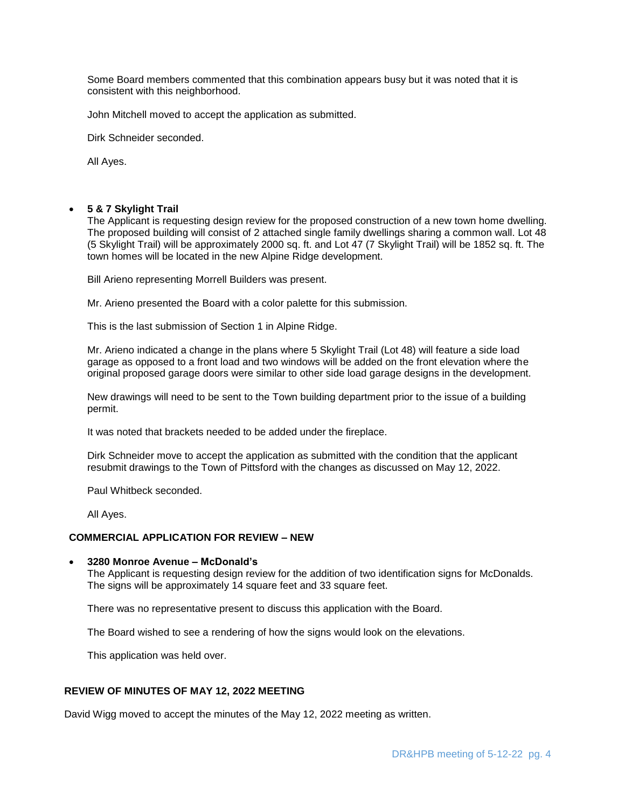Some Board members commented that this combination appears busy but it was noted that it is consistent with this neighborhood.

John Mitchell moved to accept the application as submitted.

Dirk Schneider seconded.

All Ayes.

### **5 & 7 Skylight Trail**

The Applicant is requesting design review for the proposed construction of a new town home dwelling. The proposed building will consist of 2 attached single family dwellings sharing a common wall. Lot 48 (5 Skylight Trail) will be approximately 2000 sq. ft. and Lot 47 (7 Skylight Trail) will be 1852 sq. ft. The town homes will be located in the new Alpine Ridge development.

Bill Arieno representing Morrell Builders was present.

Mr. Arieno presented the Board with a color palette for this submission.

This is the last submission of Section 1 in Alpine Ridge.

Mr. Arieno indicated a change in the plans where 5 Skylight Trail (Lot 48) will feature a side load garage as opposed to a front load and two windows will be added on the front elevation where the original proposed garage doors were similar to other side load garage designs in the development.

New drawings will need to be sent to the Town building department prior to the issue of a building permit.

It was noted that brackets needed to be added under the fireplace.

Dirk Schneider move to accept the application as submitted with the condition that the applicant resubmit drawings to the Town of Pittsford with the changes as discussed on May 12, 2022.

Paul Whitbeck seconded.

All Ayes.

### **COMMERCIAL APPLICATION FOR REVIEW – NEW**

#### **3280 Monroe Avenue – McDonald's**

The Applicant is requesting design review for the addition of two identification signs for McDonalds. The signs will be approximately 14 square feet and 33 square feet.

There was no representative present to discuss this application with the Board.

The Board wished to see a rendering of how the signs would look on the elevations.

This application was held over.

## **REVIEW OF MINUTES OF MAY 12, 2022 MEETING**

David Wigg moved to accept the minutes of the May 12, 2022 meeting as written.